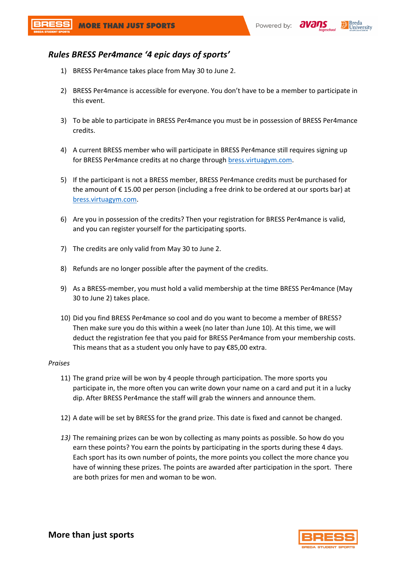



## *Rules BRESS Per4mance '4 epic days of sports'*

- 1) BRESS Per4mance takes place from May 30 to June 2.
- 2) BRESS Per4mance is accessible for everyone. You don't have to be a member to participate in this event.
- 3) To be able to participate in BRESS Per4mance you must be in possession of BRESS Per4mance credits.
- 4) A current BRESS member who will participate in BRESS Per4mance still requires signing up for BRESS Per4mance credits at no charge through bress.virtuagym.com.
- 5) If the participant is not a BRESS member, BRESS Per4mance credits must be purchased for the amount of € 15.00 per person (including a free drink to be ordered at our sports bar) at bress.virtuagym.com.
- 6) Are you in possession of the credits? Then your registration for BRESS Per4mance is valid, and you can register yourself for the participating sports.
- 7) The credits are only valid from May 30 to June 2.
- 8) Refunds are no longer possible after the payment of the credits.
- 9) As a BRESS-member, you must hold a valid membership at the time BRESS Per4mance (May 30 to June 2) takes place.
- 10) Did you find BRESS Per4mance so cool and do you want to become a member of BRESS? Then make sure you do this within a week (no later than June 10). At this time, we will deduct the registration fee that you paid for BRESS Per4mance from your membership costs. This means that as a student you only have to pay €85,00 extra.

## *Praises*

- 11) The grand prize will be won by 4 people through participation. The more sports you participate in, the more often you can write down your name on a card and put it in a lucky dip. After BRESS Per4mance the staff will grab the winners and announce them.
- 12) A date will be set by BRESS for the grand prize. This date is fixed and cannot be changed.
- *13)* The remaining prizes can be won by collecting as many points as possible. So how do you earn these points? You earn the points by participating in the sports during these 4 days. Each sport has its own number of points, the more points you collect the more chance you have of winning these prizes. The points are awarded after participation in the sport. There are both prizes for men and woman to be won.